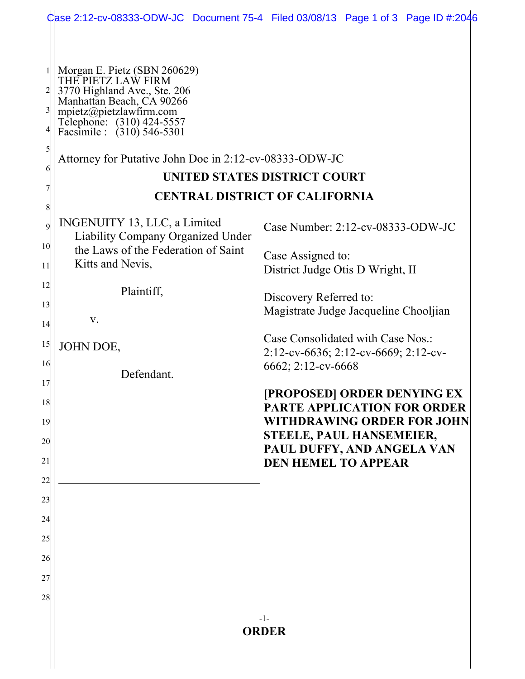|                                                                                                     |                                                                                                                                                                                                                                                                 | Case 2:12-cv-08333-ODW-JC Document 75-4 Filed 03/08/13 Page 1 of 3 Page ID #:2046                                                                                                                                                                                                                                                                                                                                                                           |
|-----------------------------------------------------------------------------------------------------|-----------------------------------------------------------------------------------------------------------------------------------------------------------------------------------------------------------------------------------------------------------------|-------------------------------------------------------------------------------------------------------------------------------------------------------------------------------------------------------------------------------------------------------------------------------------------------------------------------------------------------------------------------------------------------------------------------------------------------------------|
| $\frac{2}{ }$<br>$\frac{3}{2}$<br>5<br>6<br>8                                                       | Morgan E. Pietz (SBN 260629)<br>THE PIETZ LAW FIRM<br>3770 Highland Ave., Ste. 206<br>Manhattan Beach, CA 90266<br>mpietz@pietzlawfirm.com<br>Telephone: (310) 424-5557<br>Facsimile : (310) 546-5301<br>Attorney for Putative John Doe in 2:12-cv-08333-ODW-JC | <b>UNITED STATES DISTRICT COURT</b><br><b>CENTRAL DISTRICT OF CALIFORNIA</b>                                                                                                                                                                                                                                                                                                                                                                                |
| $\mathfrak{g}$<br>10 <sup>1</sup><br>11<br>12<br>13<br>14<br>15<br>16<br>17<br>18<br>19<br>20<br>21 | INGENUITY 13, LLC, a Limited<br><b>Liability Company Organized Under</b><br>the Laws of the Federation of Saint<br>Kitts and Nevis,<br>Plaintiff,<br>V.<br>JOHN DOE,<br>Defendant.                                                                              | Case Number: 2:12-cv-08333-ODW-JC<br>Case Assigned to:<br>District Judge Otis D Wright, II<br>Discovery Referred to:<br>Magistrate Judge Jacqueline Chooljian<br>Case Consolidated with Case Nos.:<br>2:12-cv-6636; 2:12-cv-6669; 2:12-cv-<br>6662; 2:12-cv-6668<br>[PROPOSED] ORDER DENYING EX<br>PARTE APPLICATION FOR ORDER<br><b>WITHDRAWING ORDER FOR JOHN</b><br>STEELE, PAUL HANSEMEIER,<br>PAUL DUFFY, AND ANGELA VAN<br><b>DEN HEMEL TO APPEAR</b> |
| 22<br>23<br>24<br>25<br>26<br>27<br>28                                                              |                                                                                                                                                                                                                                                                 | $-1-$<br><b>ORDER</b>                                                                                                                                                                                                                                                                                                                                                                                                                                       |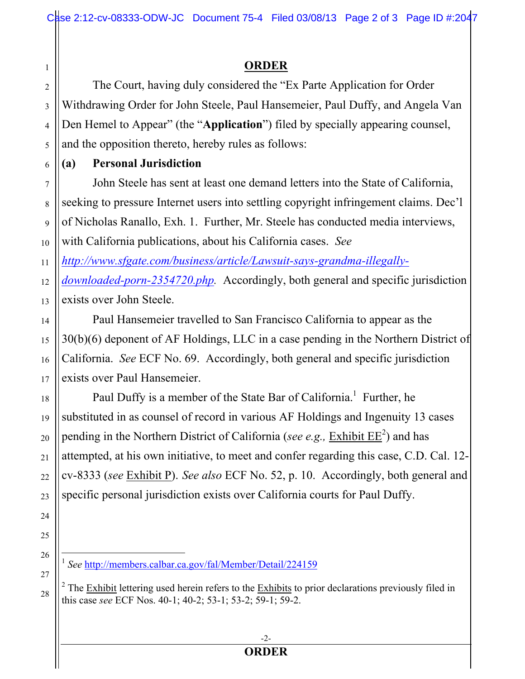## **ORDER**

The Court, having duly considered the "Ex Parte Application for Order Withdrawing Order for John Steele, Paul Hansemeier, Paul Duffy, and Angela Van Den Hemel to Appear" (the "**Application**") filed by specially appearing counsel, and the opposition thereto, hereby rules as follows:

## **(a) Personal Jurisdiction**

John Steele has sent at least one demand letters into the State of California, seeking to pressure Internet users into settling copyright infringement claims. Dec'l of Nicholas Ranallo, Exh. 1. Further, Mr. Steele has conducted media interviews, with California publications, about his California cases. *See* 

11 *http://www.sfgate.com/business/article/Lawsuit-says-grandma-illegally-*

12 13 *downloaded-porn-2354720.php.* Accordingly, both general and specific jurisdiction exists over John Steele.

Paul Hansemeier travelled to San Francisco California to appear as the 30(b)(6) deponent of AF Holdings, LLC in a case pending in the Northern District of California. *See* ECF No. 69. Accordingly, both general and specific jurisdiction exists over Paul Hansemeier.

Paul Duffy is a member of the State Bar of California.<sup>1</sup> Further, he substituted in as counsel of record in various AF Holdings and Ingenuity 13 cases pending in the Northern District of California (*see e.g.*, *Exhibit EE*<sup>2</sup>) and has attempted, at his own initiative, to meet and confer regarding this case, C.D. Cal. 12 cv-8333 (*see* Exhibit P). *See also* ECF No. 52, p. 10. Accordingly, both general and specific personal jurisdiction exists over California courts for Paul Duffy.

1

2

3

4

5

6

7

8

9

10

<sup>2</sup> The  $\frac{Exhibit}{Ext}$  lettering used herein refers to the  $\frac{Exhibits}{Ext}$  to prior declarations previously filed in this case *see* ECF Nos. 40-1; 40-2; 53-1; 53-2; 59-1; 59-2.

 <sup>1</sup> *See* http://members.calbar.ca.gov/fal/Member/Detail/224159